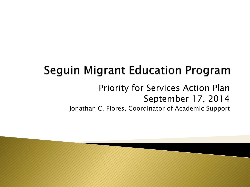## **Seguin Migrant Education Program**

### Priority for Services Action Plan September 17, 2014

Jonathan C. Flores, Coordinator of Academic Support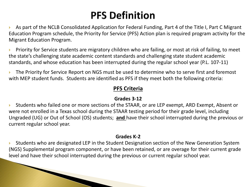## **PFS Definition**

 As part of the NCLB Consolidated Application for Federal Funding, Part 4 of the Title I, Part C Migrant Education Program schedule, the Priority for Service (PFS) Action plan is required program activity for the Migrant Education Program.

 Priority for Service students are migratory children who are failing, or most at risk of failing, to meet the state's challenging state academic content standards and challenging state student academic standards, and whose education has been interrupted during the regular school year (P.L. 107-11)

 The Priority for Service Report on NGS must be used to determine who to serve first and foremost with MEP student funds. Students are identified as PFS if they meet both the following criteria:

#### **PFS Criteria**

#### **Grades 3-12**

 Students who failed one or more sections of the STAAR, or are LEP exempt, ARD Exempt, Absent or were not enrolled in a Texas school during the STAAR testing period for their grade level, including Ungraded (UG) or Out of School (OS) students; **and** have their school interrupted during the previous or current regular school year.

#### **Grades K-2**

 Students who are designated LEP in the Student Designation section of the New Generation System (NGS) Supplemental program component, or have been retained, or are overage for their current grade level and have their school interrupted during the previous or current regular school year.

**All Communications**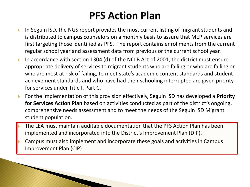## **PFS Action Plan**

- In Seguin ISD, the NGS report provides the most current listing of migrant students and is distributed to campus counselors on a monthly basis to assure that MEP services are first targeting those identified as PFS. The report contains enrollments from the current regular school year and assessment data from previous or the current school year.
- In accordance with section 1304 (d) of the NCLB Act of 2001, the district must ensure appropriate delivery of services to migrant students who are failing or who are failing or who are most at risk of failing, to meet state's academic content standards and student achievement standards **and** who have had their schooling interrupted are given priority for services under Title I, Part C.
- For the implementation of this provision effectively, Seguin ISD has developed a **Priority for Services Action Plan** based on activities conducted as part of the district's ongoing, comprehensive needs assessment and to meet the needs of the Seguin ISD Migrant student population.
- The LEA must maintain auditable documentation that the PFS Action Plan has been implemented and incorporated into the District's Improvement Plan (DIP).
- Campus must also implement and incorporate these goals and activities in Campus Improvement Plan (CIP)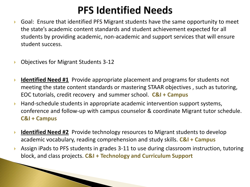### **PFS Identified Needs**

- Goal: Ensure that identified PFS Migrant students have the same opportunity to meet the state's academic content standards and student achievement expected for all students by providing academic, non-academic and support services that will ensure student success.
- ▶ Objectives for Migrant Students 3-12

**The Communication of the Communication of the Communication of the Communication** 

- **Identified Need #1** Provide appropriate placement and programs for students not meeting the state content standards or mastering STAAR objectives , such as tutoring, EOC tutorials, credit recovery and summer school. **C&I + Campus**
- ▶ Hand-schedule students in appropriate academic intervention support systems, conference and follow-up with campus counselor & coordinate Migrant tutor schedule. **C&I + Campus**
- **Identified Need #2** Provide technology resources to Migrant students to develop academic vocabulary, reading comprehension and study skills. **C&I + Campus**
- Assign iPads to PFS students in grades 3-11 to use during classroom instruction, tutoring block, and class projects. **C&I + Technology and Curriculum Support**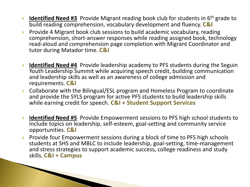- **Identified Need #3** Provide Migrant reading book club for students in 6<sup>th</sup> grade to build reading comprehension, vocabulary development and fluency. **C&I**
- Provide 4 Migrant book club sessions to build academic vocabulary, reading comprehension, short-answer responses while reading assigned book, technology read-aloud and comprehension page completion with Migrant Coordinator and tutor during Matador time. **C&I**
- **Identified Need #4** Provide leadership academy to PFS students during the Seguin Youth Leadership Summit while acquiring speech credit, building communication and leadership skills as well as an awareness of college admission and requirements. **C&I**
- Collaborate with the Bilingual/ESL program and Homeless Program to coordinate and provide the SYLS program for active PFS students to build leadership skills while earning credit for speech. **C&I + Student Support Services**
- **Identified Need #5** Provide Empowerment sessions to PFS high school students to include topics on leadership, self-esteem, goal-setting and community service opportunities. **C&I**
- Provide four Empowerment sessions during a block of time to PFS high schools students at SHS and MBLC to include leadership, goal-setting, time-management and stress strategies to support academic success, college readiness and study skills. **C&I + Campus**

**CONTRACTOR**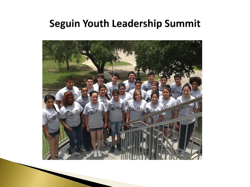#### **Seguin Youth Leadership Summit**

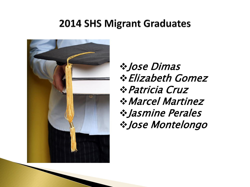#### **2014 SHS Migrant Graduates**



**※ Jose Dimas** Elizabeth Gomez Patricia Cruz Marcel Martinez Jasmine Perales Jose Montelongo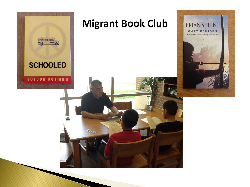